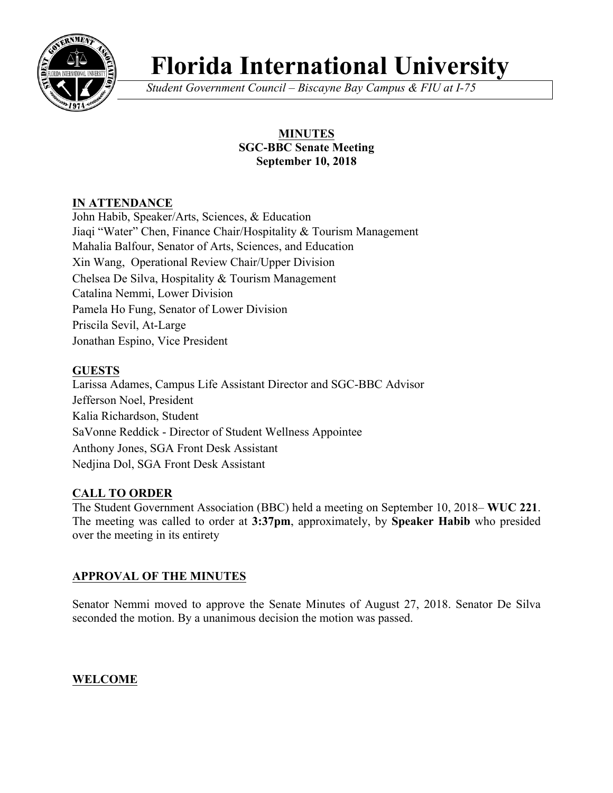

# **Florida International University**

*Student Government Council – Biscayne Bay Campus & FIU at I-75*

# **MINUTES SGC-BBC Senate Meeting September 10, 2018**

# **IN ATTENDANCE**

John Habib, Speaker/Arts, Sciences, & Education Jiaqi "Water" Chen, Finance Chair/Hospitality & Tourism Management Mahalia Balfour, Senator of Arts, Sciences, and Education Xin Wang, Operational Review Chair/Upper Division Chelsea De Silva, Hospitality & Tourism Management Catalina Nemmi, Lower Division Pamela Ho Fung, Senator of Lower Division Priscila Sevil, At-Large Jonathan Espino, Vice President

# **GUESTS**

Larissa Adames, Campus Life Assistant Director and SGC-BBC Advisor Jefferson Noel, President Kalia Richardson, Student SaVonne Reddick - Director of Student Wellness Appointee Anthony Jones, SGA Front Desk Assistant Nedjina Dol, SGA Front Desk Assistant

# **CALL TO ORDER**

The Student Government Association (BBC) held a meeting on September 10, 2018– **WUC 221**. The meeting was called to order at **3:37pm**, approximately, by **Speaker Habib** who presided over the meeting in its entirety

# **APPROVAL OF THE MINUTES**

Senator Nemmi moved to approve the Senate Minutes of August 27, 2018. Senator De Silva seconded the motion. By a unanimous decision the motion was passed.

**WELCOME**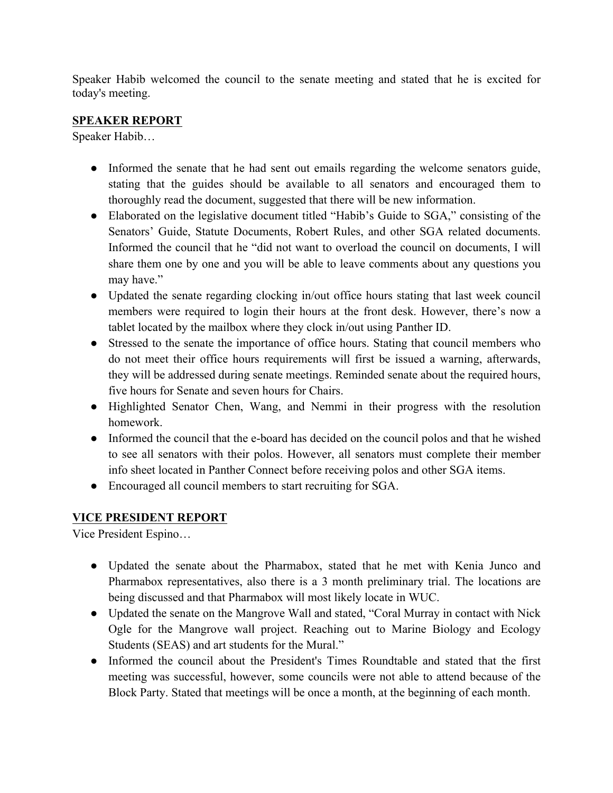Speaker Habib welcomed the council to the senate meeting and stated that he is excited for today's meeting.

## **SPEAKER REPORT**

Speaker Habib…

- Informed the senate that he had sent out emails regarding the welcome senators guide, stating that the guides should be available to all senators and encouraged them to thoroughly read the document, suggested that there will be new information.
- Elaborated on the legislative document titled "Habib's Guide to SGA," consisting of the Senators' Guide, Statute Documents, Robert Rules, and other SGA related documents. Informed the council that he "did not want to overload the council on documents, I will share them one by one and you will be able to leave comments about any questions you may have."
- Updated the senate regarding clocking in/out office hours stating that last week council members were required to login their hours at the front desk. However, there's now a tablet located by the mailbox where they clock in/out using Panther ID.
- Stressed to the senate the importance of office hours. Stating that council members who do not meet their office hours requirements will first be issued a warning, afterwards, they will be addressed during senate meetings. Reminded senate about the required hours, five hours for Senate and seven hours for Chairs.
- Highlighted Senator Chen, Wang, and Nemmi in their progress with the resolution homework.
- Informed the council that the e-board has decided on the council polos and that he wished to see all senators with their polos. However, all senators must complete their member info sheet located in Panther Connect before receiving polos and other SGA items.
- Encouraged all council members to start recruiting for SGA.

# **VICE PRESIDENT REPORT**

Vice President Espino…

- Updated the senate about the Pharmabox, stated that he met with Kenia Junco and Pharmabox representatives, also there is a 3 month preliminary trial. The locations are being discussed and that Pharmabox will most likely locate in WUC.
- Updated the senate on the Mangrove Wall and stated, "Coral Murray in contact with Nick Ogle for the Mangrove wall project. Reaching out to Marine Biology and Ecology Students (SEAS) and art students for the Mural."
- Informed the council about the President's Times Roundtable and stated that the first meeting was successful, however, some councils were not able to attend because of the Block Party. Stated that meetings will be once a month, at the beginning of each month.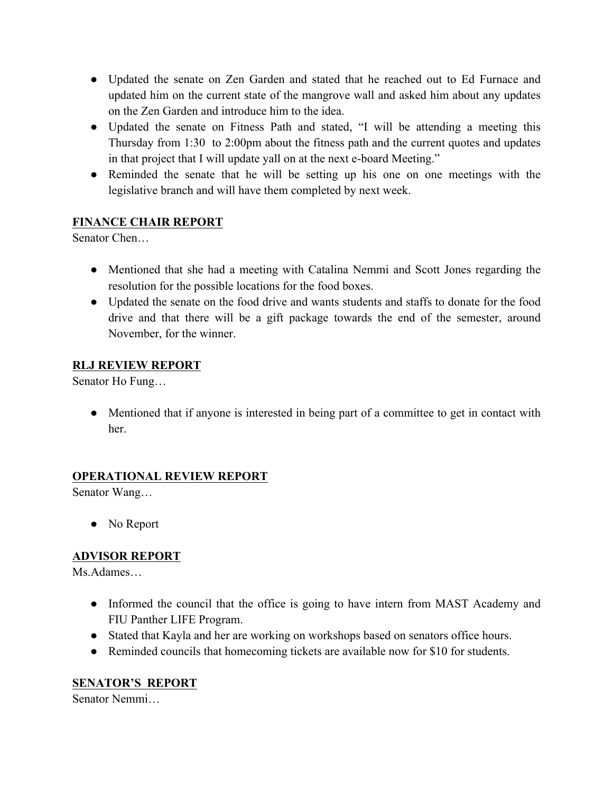- Updated the senate on Zen Garden and stated that he reached out to Ed Furnace and updated him on the current state of the mangrove wall and asked him about any updates on the Zen Garden and introduce him to the idea.
- Updated the senate on Fitness Path and stated, "I will be attending a meeting this Thursday from 1:30 to 2:00pm about the fitness path and the current quotes and updates in that project that I will update yall on at the next e-board Meeting."
- Reminded the senate that he will be setting up his one on one meetings with the legislative branch and will have them completed by next week.

# **FINANCE CHAIR REPORT**

Senator Chen…

- Mentioned that she had a meeting with Catalina Nemmi and Scott Jones regarding the resolution for the possible locations for the food boxes.
- Updated the senate on the food drive and wants students and staffs to donate for the food drive and that there will be a gift package towards the end of the semester, around November, for the winner.

## **RLJ REVIEW REPORT**

Senator Ho Fung…

• Mentioned that if anyone is interested in being part of a committee to get in contact with her.

# **OPERATIONAL REVIEW REPORT**

Senator Wang…

• No Report

# **ADVISOR REPORT**

Ms.Adames…

- Informed the council that the office is going to have intern from MAST Academy and FIU Panther LIFE Program.
- Stated that Kayla and her are working on workshops based on senators office hours.
- Reminded councils that homecoming tickets are available now for \$10 for students.

# **SENATOR'S REPORT**

Senator Nemmi…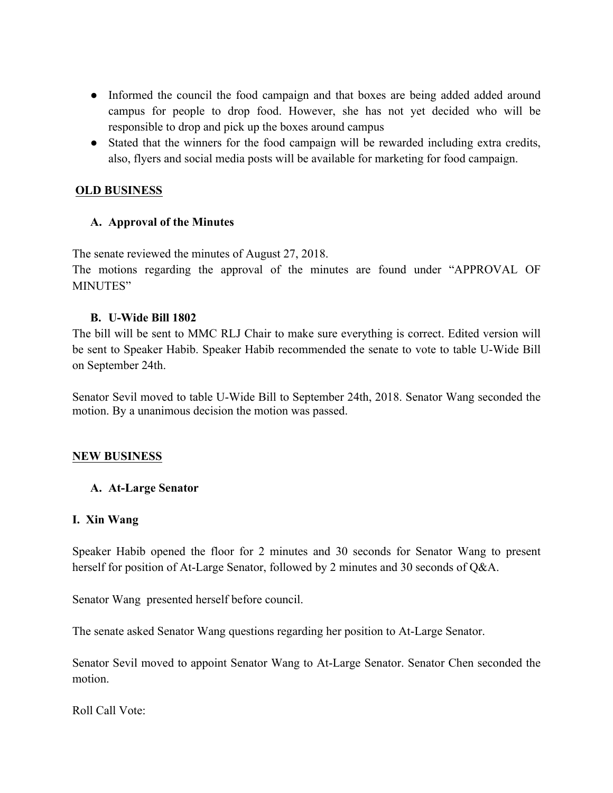- Informed the council the food campaign and that boxes are being added added around campus for people to drop food. However, she has not yet decided who will be responsible to drop and pick up the boxes around campus
- Stated that the winners for the food campaign will be rewarded including extra credits, also, flyers and social media posts will be available for marketing for food campaign.

#### **OLD BUSINESS**

## **A. Approval of the Minutes**

The senate reviewed the minutes of August 27, 2018.

The motions regarding the approval of the minutes are found under "APPROVAL OF MINUTES"

#### **B. U-Wide Bill 1802**

The bill will be sent to MMC RLJ Chair to make sure everything is correct. Edited version will be sent to Speaker Habib. Speaker Habib recommended the senate to vote to table U-Wide Bill on September 24th.

Senator Sevil moved to table U-Wide Bill to September 24th, 2018. Senator Wang seconded the motion. By a unanimous decision the motion was passed.

#### **NEW BUSINESS**

#### **A. At-Large Senator**

#### **I. Xin Wang**

Speaker Habib opened the floor for 2 minutes and 30 seconds for Senator Wang to present herself for position of At-Large Senator, followed by 2 minutes and 30 seconds of Q&A.

Senator Wang presented herself before council.

The senate asked Senator Wang questions regarding her position to At-Large Senator.

Senator Sevil moved to appoint Senator Wang to At-Large Senator. Senator Chen seconded the motion.

Roll Call Vote: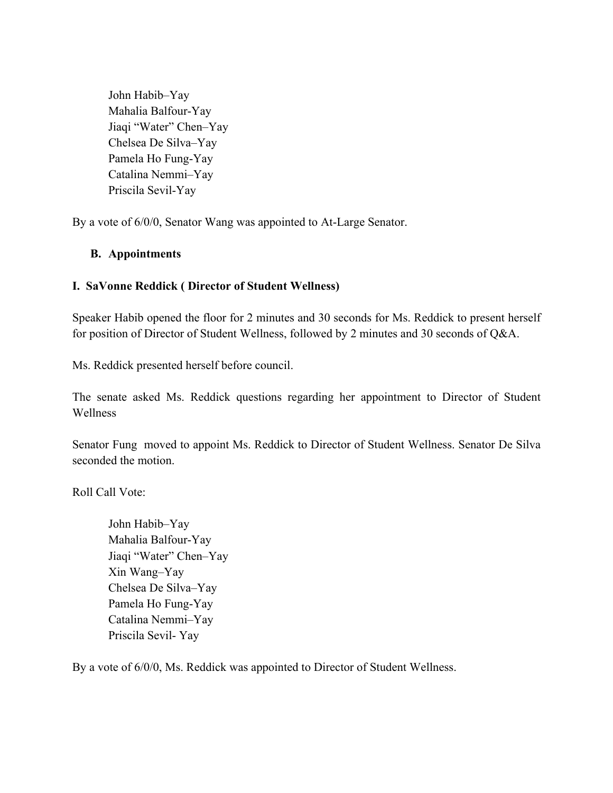John Habib–Yay Mahalia Balfour-Yay Jiaqi "Water" Chen–Yay Chelsea De Silva–Yay Pamela Ho Fung-Yay Catalina Nemmi–Yay Priscila Sevil-Yay

By a vote of 6/0/0, Senator Wang was appointed to At-Large Senator.

#### **B. Appointments**

#### **I. SaVonne Reddick ( Director of Student Wellness)**

Speaker Habib opened the floor for 2 minutes and 30 seconds for Ms. Reddick to present herself for position of Director of Student Wellness, followed by 2 minutes and 30 seconds of Q&A.

Ms. Reddick presented herself before council.

The senate asked Ms. Reddick questions regarding her appointment to Director of Student Wellness

Senator Fung moved to appoint Ms. Reddick to Director of Student Wellness. Senator De Silva seconded the motion.

Roll Call Vote:

John Habib–Yay Mahalia Balfour-Yay Jiaqi "Water" Chen–Yay Xin Wang–Yay Chelsea De Silva–Yay Pamela Ho Fung-Yay Catalina Nemmi–Yay Priscila Sevil- Yay

By a vote of 6/0/0, Ms. Reddick was appointed to Director of Student Wellness.